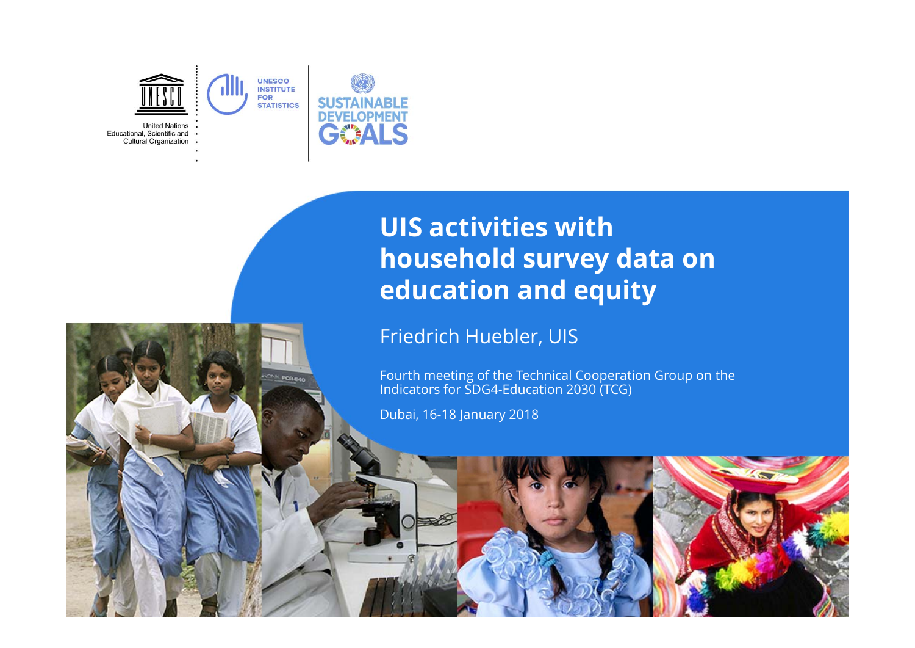

## **UIS activities with household survey data on education and equity**

#### Friedrich Huebler, UIS

Fourth meeting of the Technical Cooperation Group on the Indicators for SDG4-Education 2030 (TCG)

Dubai, 16-18 January 2018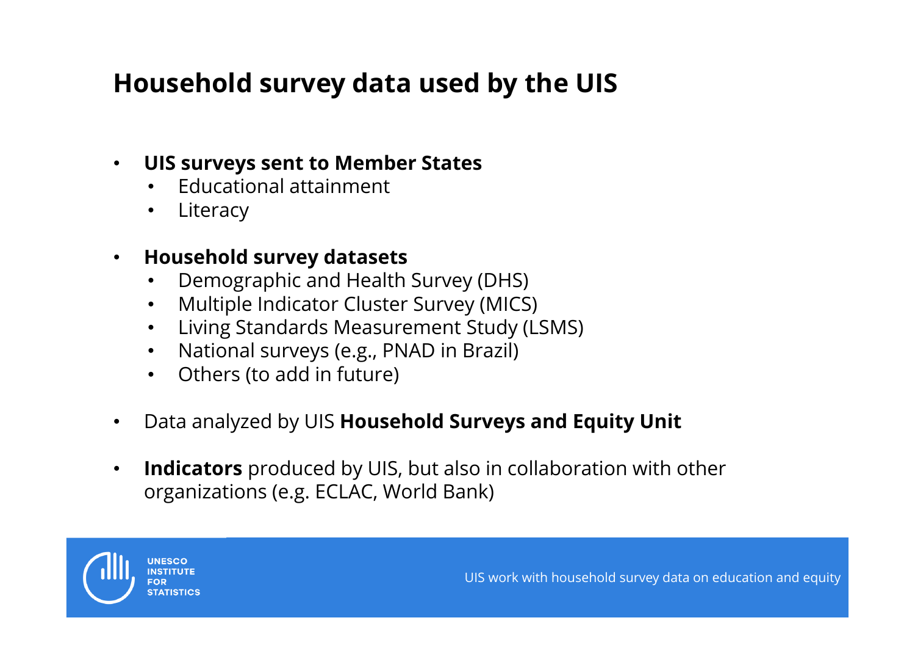## **Household survey data used by the UIS**

#### $\bullet$ **UIS surveys sent to Member States**

- •• Educational attainment
- •**Literacy**

#### $\bullet$ **Household survey datasets**

- $\bullet$ Demographic and Health Survey (DHS)
- •Multiple Indicator Cluster Survey (MICS)
- $\bullet$ Living Standards Measurement Study (LSMS)
- $\bullet$ National surveys (e.g., PNAD in Brazil)
- •Others (to add in future)
- $\bullet$ Data analyzed by UIS **Household Surveys and Equity Unit**
- • **Indicators** produced by UIS, but also in collaboration with other organizations (e.g. ECLAC, World Bank)

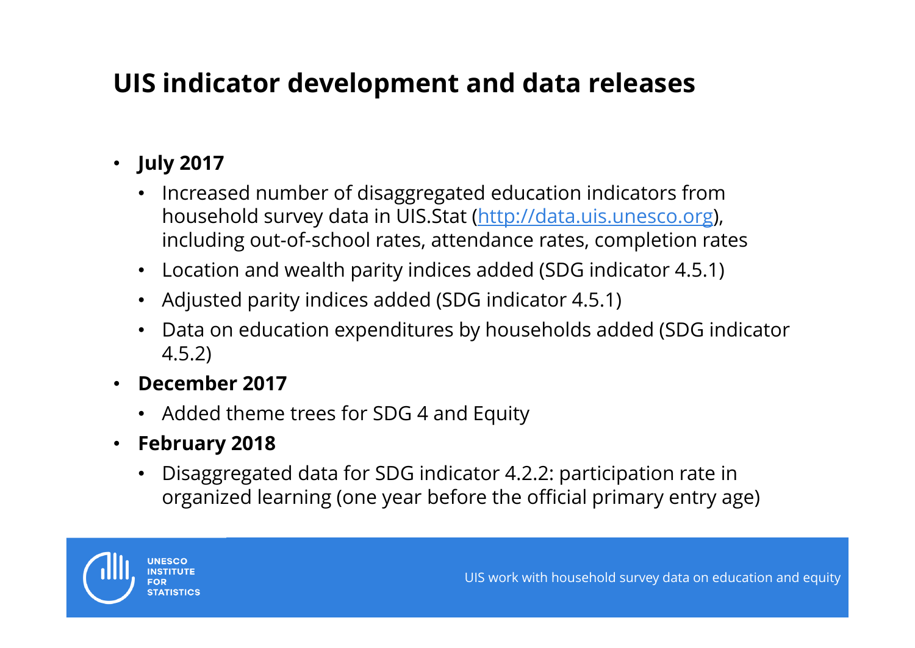# **UIS indicator development and data releases**

#### • **July 2017**

- Increased number of disaggregated education indicators from household survey data in UIS.Stat (http://data.uis.unesco.org), including out-of-school rates, attendance rates, completion rates
- Location and wealth parity indices added (SDG indicator 4.5.1)
- Adjusted parity indices added (SDG indicator 4.5.1)
- Data on education expenditures by households added (SDG indicator 4.5.2)
- **December 2017**
	- Added theme trees for SDG 4 and Equity
- **February 2018**
	- $\bullet$  Disaggregated data for SDG indicator 4.2.2: participation rate in organized learning (one year before the official primary entry age)

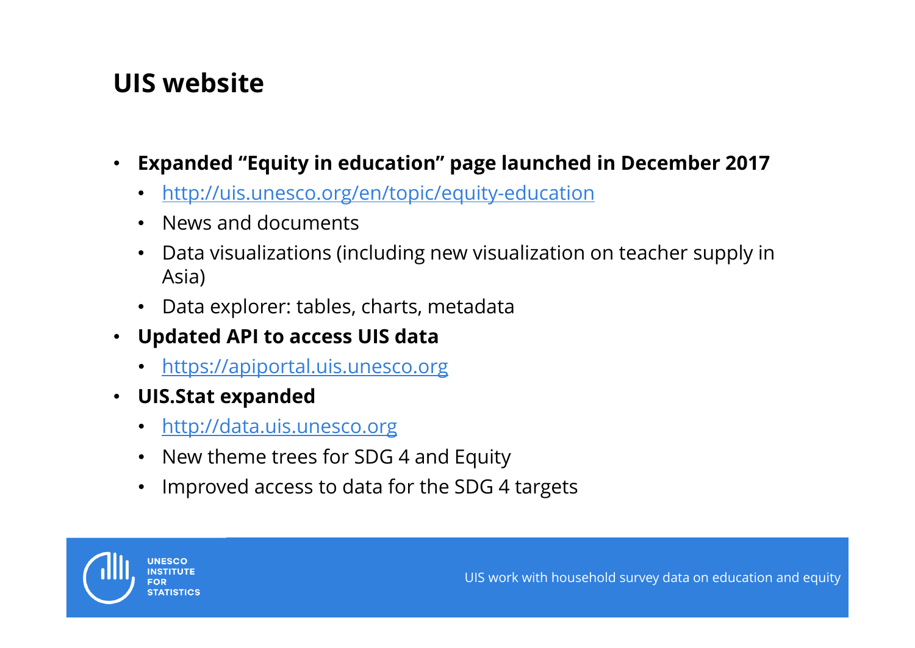### **UIS website**

- **Expanded "Equity in education" page launched in December 2017**
	- http://uis.unesco.org/en/topic/equity-education
	- News and documents
	- $\bullet$  Data visualizations (including new visualization on teacher supply in Asia)
	- Data explorer: tables, charts, metadata
- **Updated API to access UIS data**
	- https://apiportal.uis.unesco.org
- **UIS.Stat expanded**
	- http://data.uis.unesco.org
	- New theme trees for SDG 4 and Equity
	- Improved access to data for the SDG 4 targets

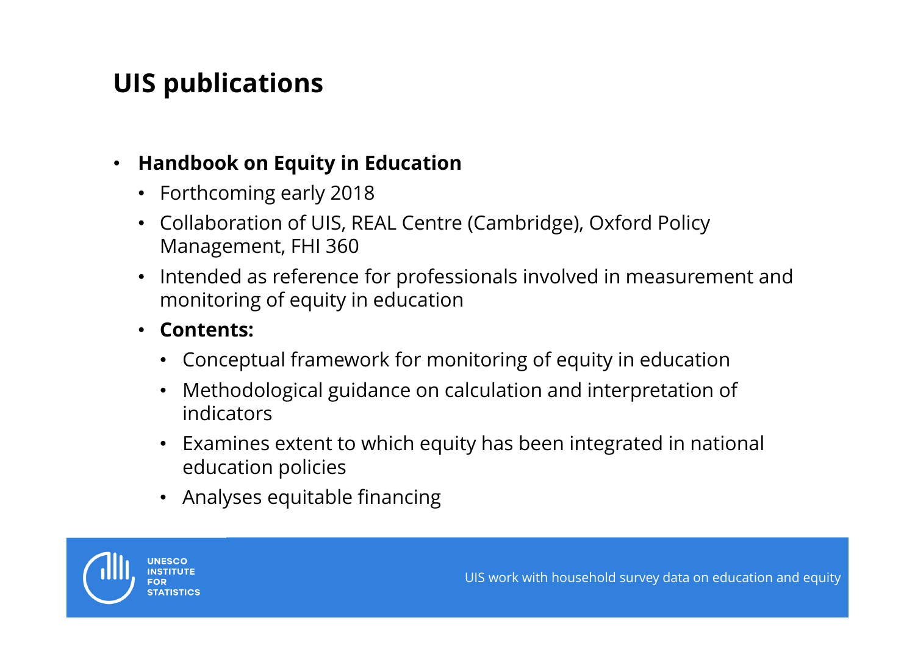## **UIS publications**

#### $\bullet$ **Handbook on Equity in Education**

- Forthcoming early 2018
- Collaboration of UIS, REAL Centre (Cambridge), Oxford Policy Management, FHI 360
- Intended as reference for professionals involved in measurement and monitoring of equity in education
- • **Contents:**
	- Conceptual framework for monitoring of equity in education
	- Methodological guidance on calculation and interpretation of indicators
	- Examines extent to which equity has been integrated in national education policies
	- Analyses equitable financing

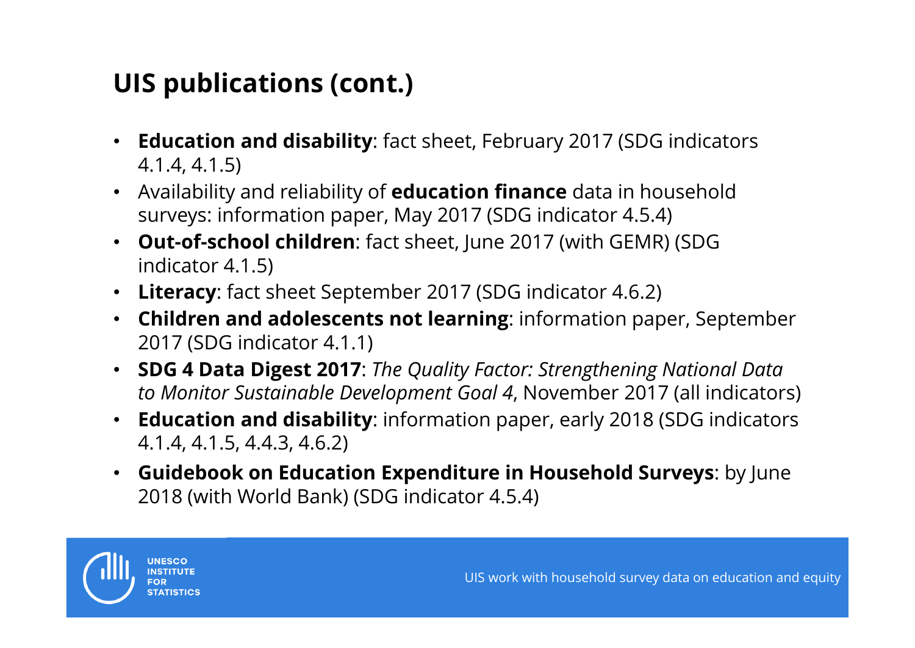# **UIS publications (cont.)**

- **Education and disability**: fact sheet, February 2017 (SDG indicators 4.1.4, 4.1.5)
- Availability and reliability of **education finance** data in household surveys: information paper, May 2017 (SDG indicator 4.5.4)
- **Out-of-school children**: fact sheet, June 2017 (with GEMR) (SDG indicator 4.1.5)
- **Literacy**: fact sheet September 2017 (SDG indicator 4.6.2)
- **Children and adolescents not learning**: information paper, September 2017 (SDG indicator 4.1.1)
- **SDG 4 Data Digest 2017**: *The Quality Factor: Strengthening National Data to Monitor Sustainable Development Goal 4*, November 2017 (all indicators)
- **Education and disability**: information paper, early 2018 (SDG indicators 4.1.4, 4.1.5, 4.4.3, 4.6.2)
- **Guidebook on Education Expenditure in Household Surveys**: by June 2018 (with World Bank) (SDG indicator 4.5.4)

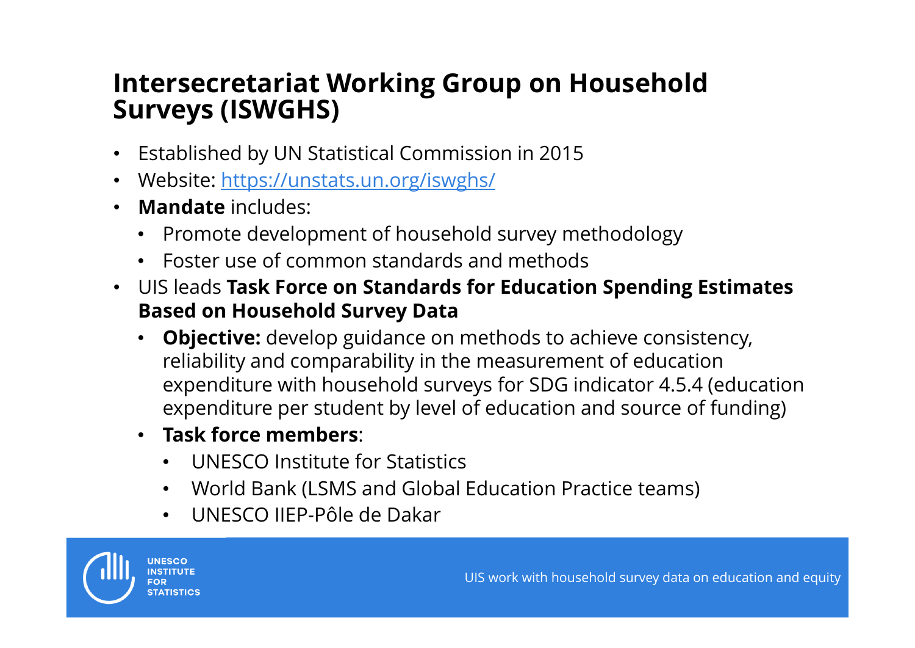### **Intersecretariat Working Group on Household Surveys (ISWGHS)**

- Established by UN Statistical Commission in 2015
- Website: https://unstats.un.org/iswghs/
- **Mandate** includes:
	- Promote development of household survey methodology
	- Foster use of common standards and methods
- UIS leads **Task Force on Standards for Education Spending Estimates Based on Household Survey Data**
	- •**Objective:** develop guidance on methods to achieve consistency, reliability and comparability in the measurement of education expenditure with household surveys for SDG indicator 4.5.4 (education expenditure per student by level of education and source of funding)
	- **Task force members**:
		- UNESCO Institute for Statistics
		- World Bank (LSMS and Global Education Practice teams)
		- UNESCO IIEP-Pôle de Dakar

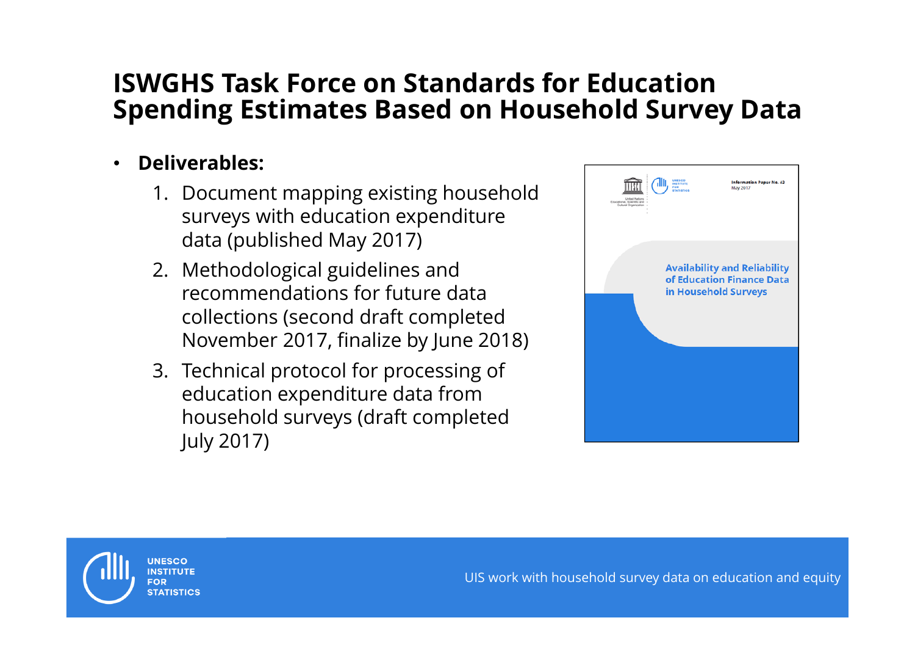#### **ISWGHS Task Force on Standards for Education Spending Estimates Based on Household Survey Data**

- • **Deliverables:**
	- 1. Document mapping existing household surveys with education expenditure data (published May 2017)
	- 2. Methodological guidelines and recommendations for future data collections (second draft completed November 2017, finalize by June 2018)
	- 3. Technical protocol for processing of education expenditure data from household surveys (draft completed July 2017)



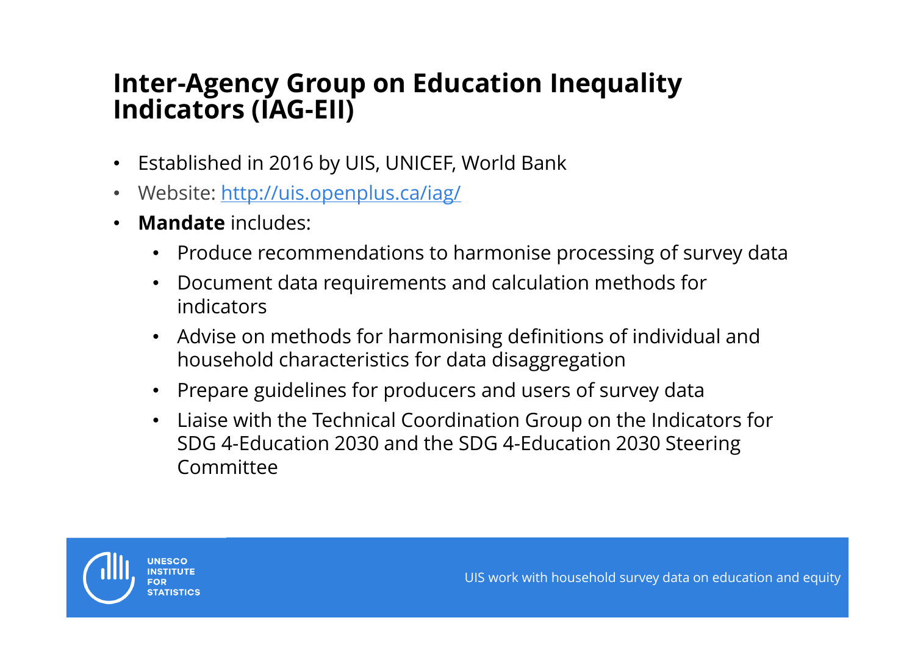### **Inter-Agency Group on Education Inequality Indicators (IAG-EII)**

- Established in 2016 by UIS, UNICEF, World Bank
- Website: <u>http://uis.openplus.ca/iag/</u>
- $\bullet$  **Mandate** includes:
	- $\bullet$ Produce recommendations to harmonise processing of survey data
	- • Document data requirements and calculation methods for indicators
	- Advise on methods for harmonising definitions of individual and household characteristics for data disaggregation
	- $\bullet$ Prepare guidelines for producers and users of survey data
	- $\bullet$  Liaise with the Technical Coordination Group on the Indicators for SDG 4-Education 2030 and the SDG 4-Education 2030 Steering Committee

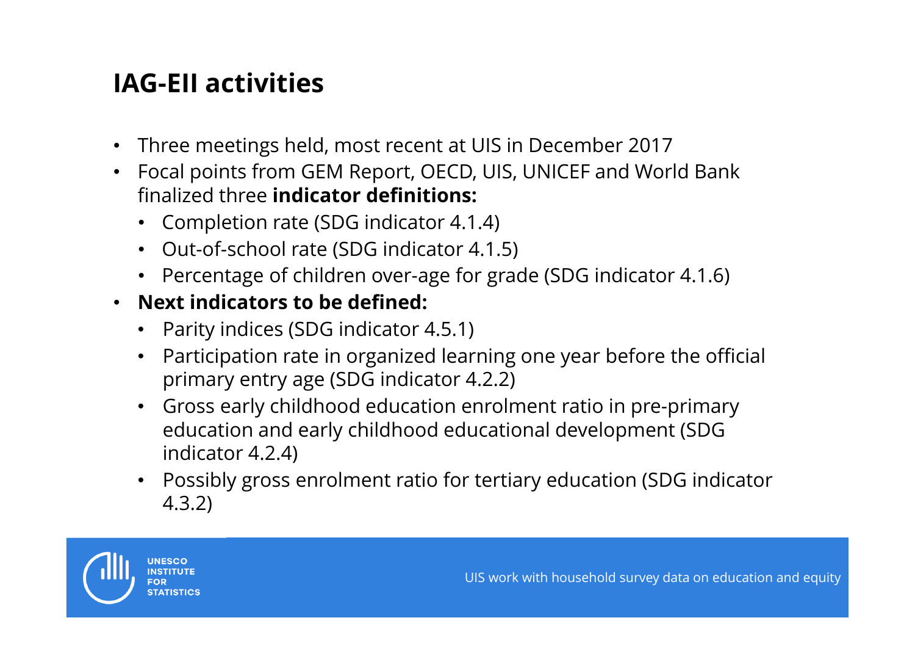## **IAG-EII activities**

- Three meetings held, most recent at UIS in December 2017
- Focal points from GEM Report, OECD, UIS, UNICEF and World Bank finalized three **indicator definitions:**
	- Completion rate (SDG indicator 4.1.4)
	- Out-of-school rate (SDG indicator 4.1.5)
	- Percentage of children over-age for grade (SDG indicator 4.1.6)
- **Next indicators to be defined:**
	- Parity indices (SDG indicator 4.5.1)
	- Participation rate in organized learning one year before the official primary entry age (SDG indicator 4.2.2)
	- Gross early childhood education enrolment ratio in pre-primary education and early childhood educational development (SDG indicator 4.2.4)
	- Possibly gross enrolment ratio for tertiary education (SDG indicator 4.3.2)